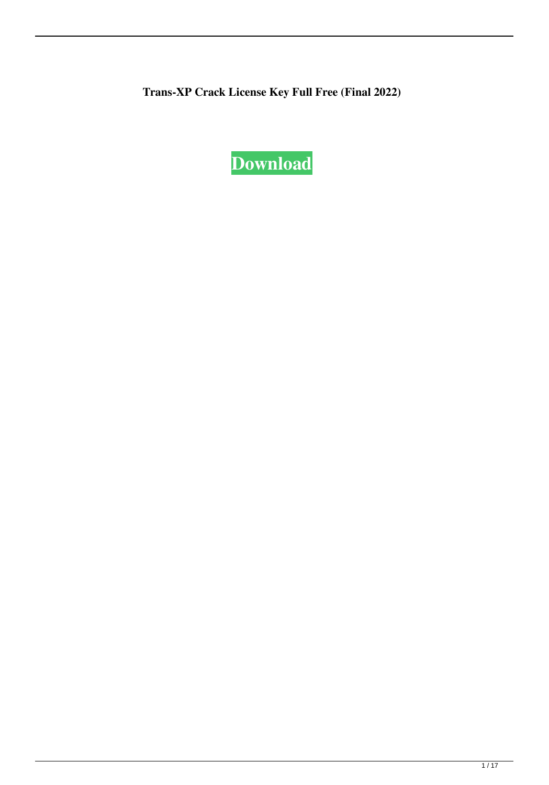**Trans-XP Crack License Key Full Free (Final 2022)**

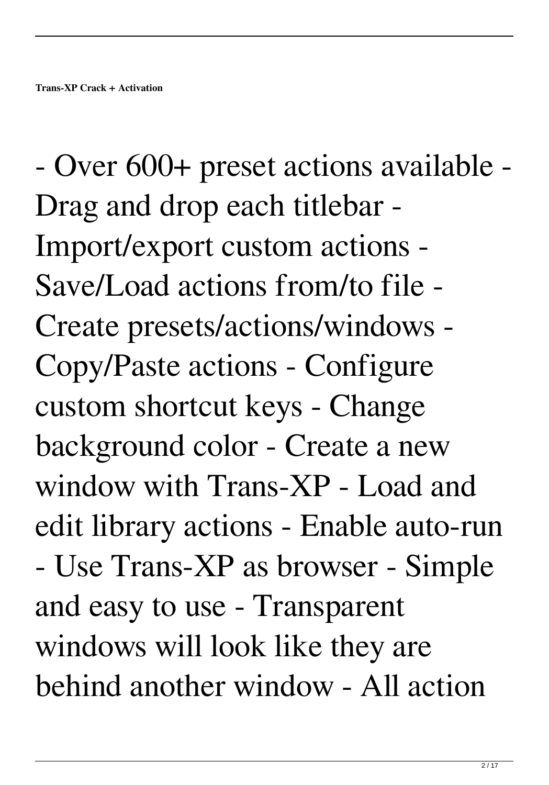- Over 600+ preset actions available - Drag and drop each titlebar - Import/export custom actions - Save/Load actions from/to file - Create presets/actions/windows - Copy/Paste actions - Configure custom shortcut keys - Change background color - Create a new window with Trans-XP - Load and edit library actions - Enable auto-run - Use Trans-XP as browser - Simple and easy to use - Transparent windows will look like they are behind another window - All action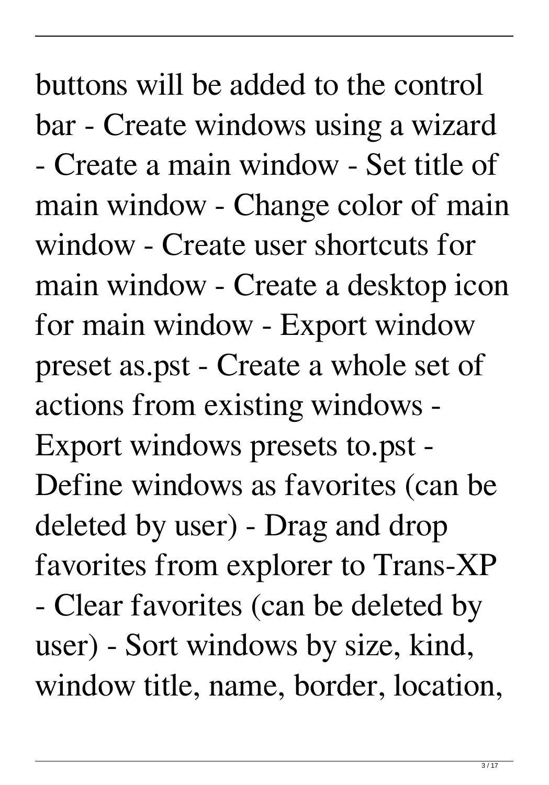buttons will be added to the control bar - Create windows using a wizard - Create a main window - Set title of main window - Change color of main window - Create user shortcuts for main window - Create a desktop icon for main window - Export window preset as.pst - Create a whole set of actions from existing windows - Export windows presets to.pst - Define windows as favorites (can be deleted by user) - Drag and drop favorites from explorer to Trans-XP - Clear favorites (can be deleted by user) - Sort windows by size, kind, window title, name, border, location,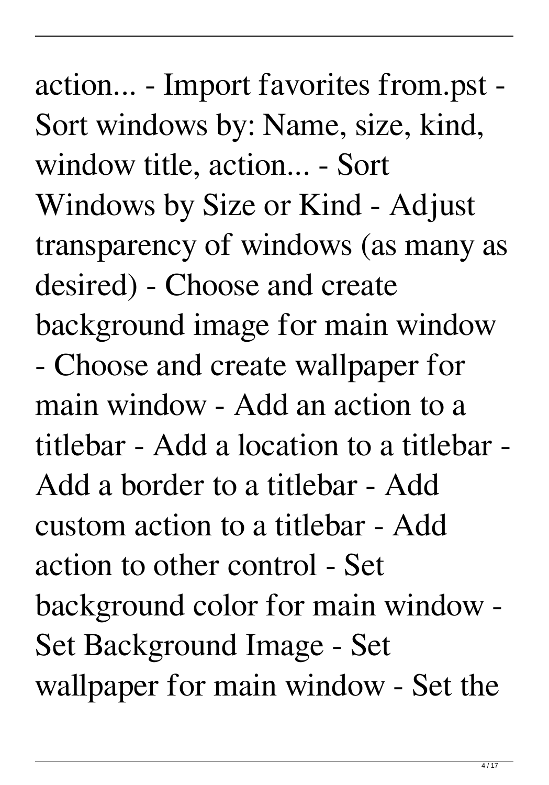action... - Import favorites from.pst - Sort windows by: Name, size, kind, window title, action... - Sort Windows by Size or Kind - Adjust transparency of windows (as many as desired) - Choose and create background image for main window - Choose and create wallpaper for main window - Add an action to a titlebar - Add a location to a titlebar - Add a border to a titlebar - Add custom action to a titlebar - Add action to other control - Set background color for main window - Set Background Image - Set wallpaper for main window - Set the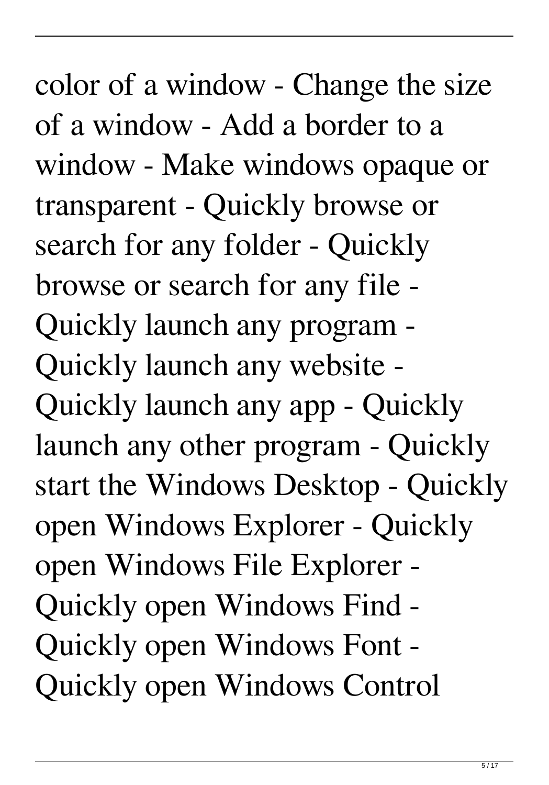color of a window - Change the size of a window - Add a border to a window - Make windows opaque or transparent - Quickly browse or search for any folder - Quickly browse or search for any file - Quickly launch any program - Quickly launch any website - Quickly launch any app - Quickly launch any other program - Quickly start the Windows Desktop - Quickly open Windows Explorer - Quickly open Windows File Explorer - Quickly open Windows Find - Quickly open Windows Font - Quickly open Windows Control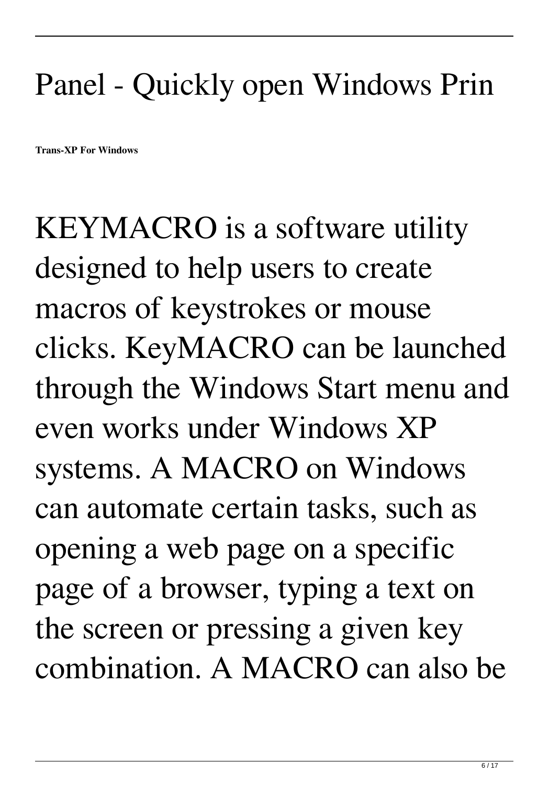## Panel - Quickly open Windows Prin

**Trans-XP For Windows**

KEYMACRO is a software utility designed to help users to create macros of keystrokes or mouse clicks. KeyMACRO can be launched through the Windows Start menu and even works under Windows XP systems. A MACRO on Windows can automate certain tasks, such as opening a web page on a specific page of a browser, typing a text on the screen or pressing a given key combination. A MACRO can also be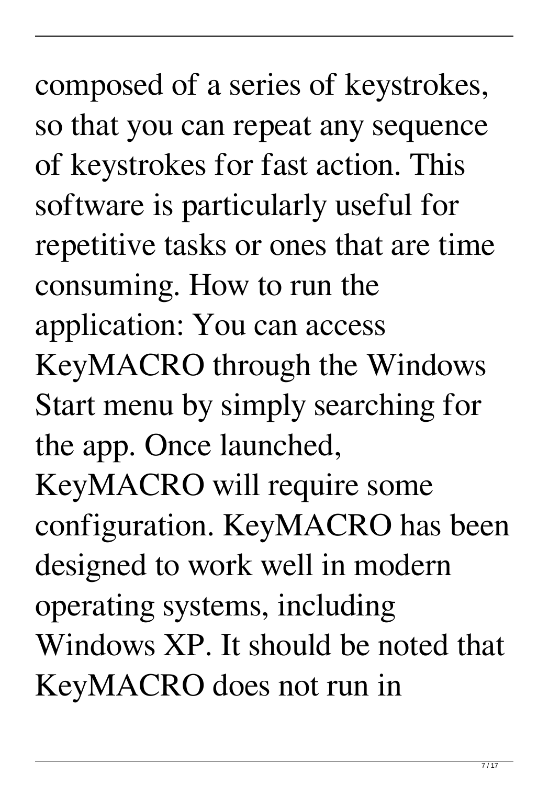composed of a series of keystrokes, so that you can repeat any sequence of keystrokes for fast action. This software is particularly useful for repetitive tasks or ones that are time consuming. How to run the application: You can access KeyMACRO through the Windows Start menu by simply searching for the app. Once launched, KeyMACRO will require some configuration. KeyMACRO has been designed to work well in modern operating systems, including Windows XP. It should be noted that KeyMACRO does not run in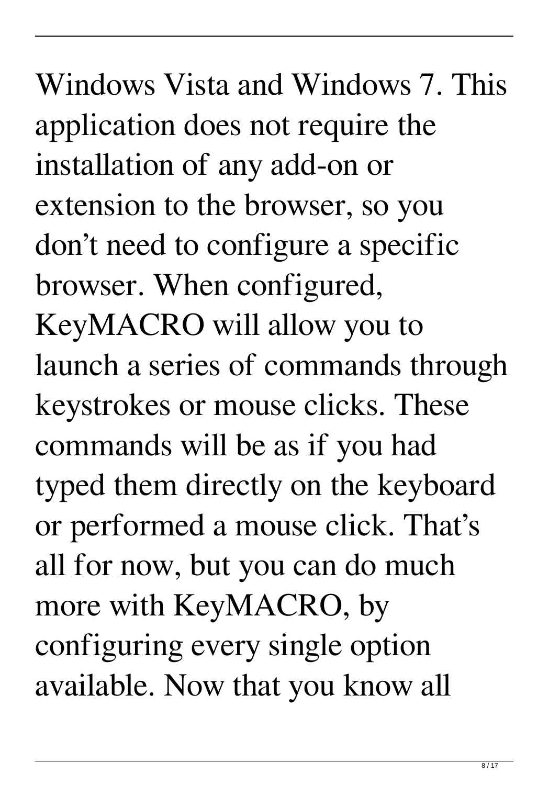Windows Vista and Windows 7. This application does not require the installation of any add-on or extension to the browser, so you don't need to configure a specific browser. When configured, KeyMACRO will allow you to launch a series of commands through keystrokes or mouse clicks. These commands will be as if you had typed them directly on the keyboard or performed a mouse click. That's all for now, but you can do much more with KeyMACRO, by configuring every single option available. Now that you know all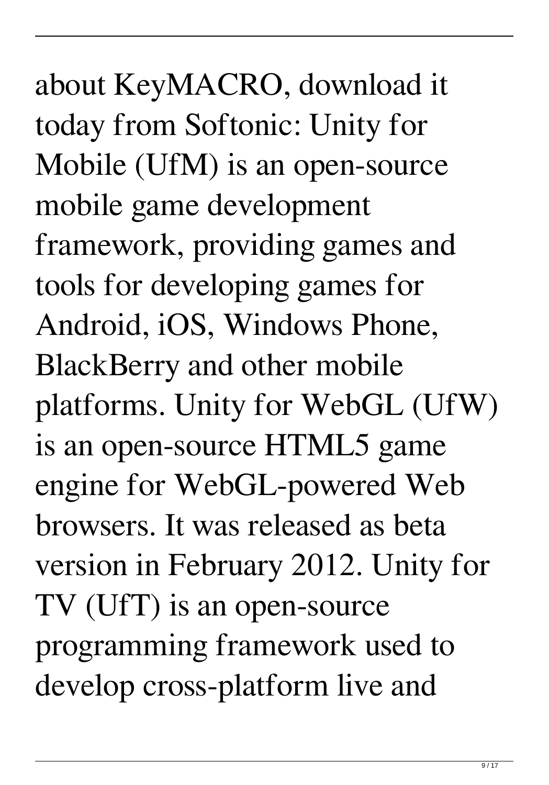about KeyMACRO, download it today from Softonic: Unity for Mobile (UfM) is an open-source mobile game development framework, providing games and tools for developing games for Android, iOS, Windows Phone, BlackBerry and other mobile platforms. Unity for WebGL (UfW) is an open-source HTML5 game engine for WebGL-powered Web browsers. It was released as beta version in February 2012. Unity for TV (UfT) is an open-source programming framework used to develop cross-platform live and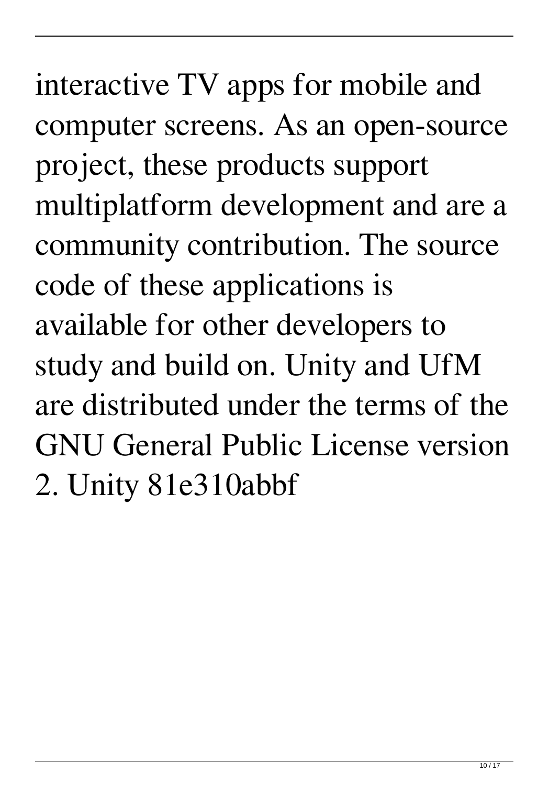interactive TV apps for mobile and computer screens. As an open-source project, these products support multiplatform development and are a community contribution. The source code of these applications is available for other developers to study and build on. Unity and UfM are distributed under the terms of the GNU General Public License version 2. Unity 81e310abbf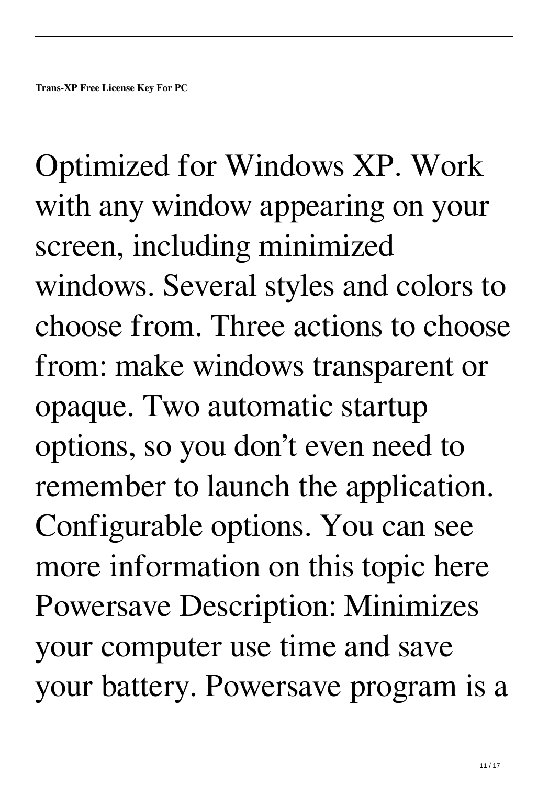Optimized for Windows XP. Work with any window appearing on your screen, including minimized windows. Several styles and colors to choose from. Three actions to choose from: make windows transparent or opaque. Two automatic startup options, so you don't even need to remember to launch the application. Configurable options. You can see more information on this topic here Powersave Description: Minimizes your computer use time and save your battery. Powersave program is a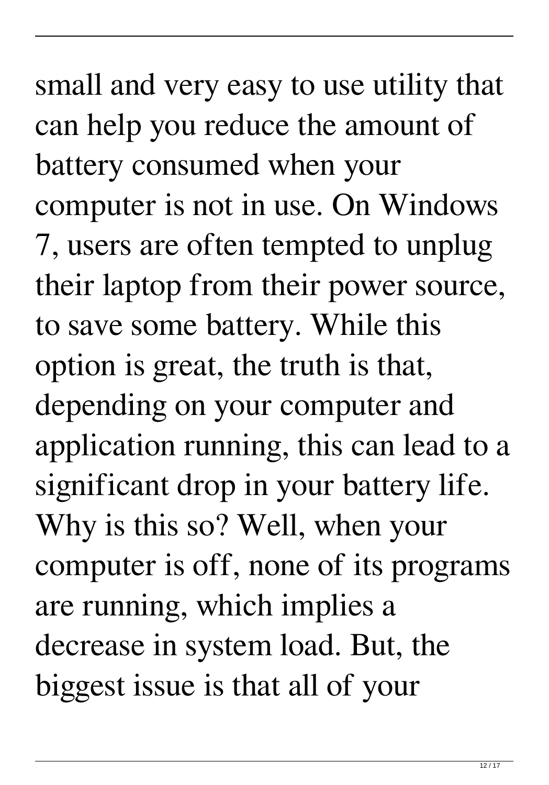small and very easy to use utility that can help you reduce the amount of battery consumed when your computer is not in use. On Windows 7, users are often tempted to unplug their laptop from their power source, to save some battery. While this option is great, the truth is that, depending on your computer and application running, this can lead to a significant drop in your battery life. Why is this so? Well, when your computer is off, none of its programs are running, which implies a decrease in system load. But, the biggest issue is that all of your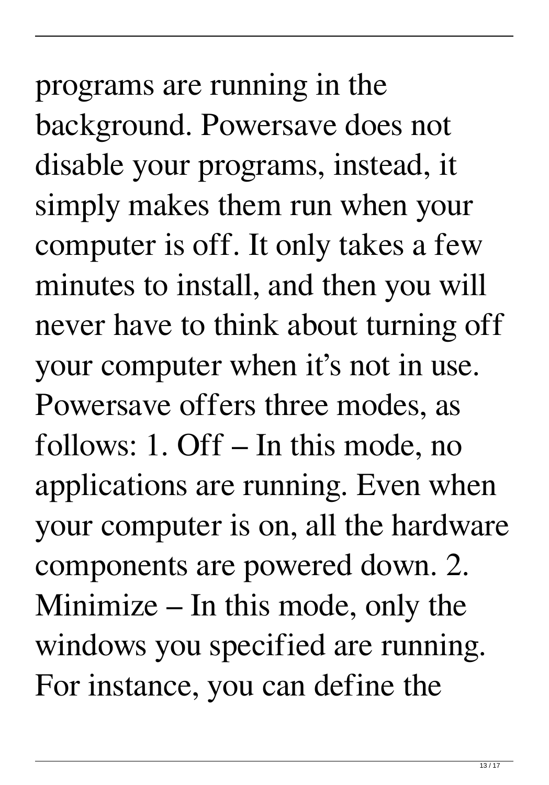programs are running in the background. Powersave does not disable your programs, instead, it simply makes them run when your computer is off. It only takes a few minutes to install, and then you will never have to think about turning off your computer when it's not in use. Powersave offers three modes, as follows: 1. Off – In this mode, no applications are running. Even when your computer is on, all the hardware components are powered down. 2. Minimize – In this mode, only the windows you specified are running. For instance, you can define the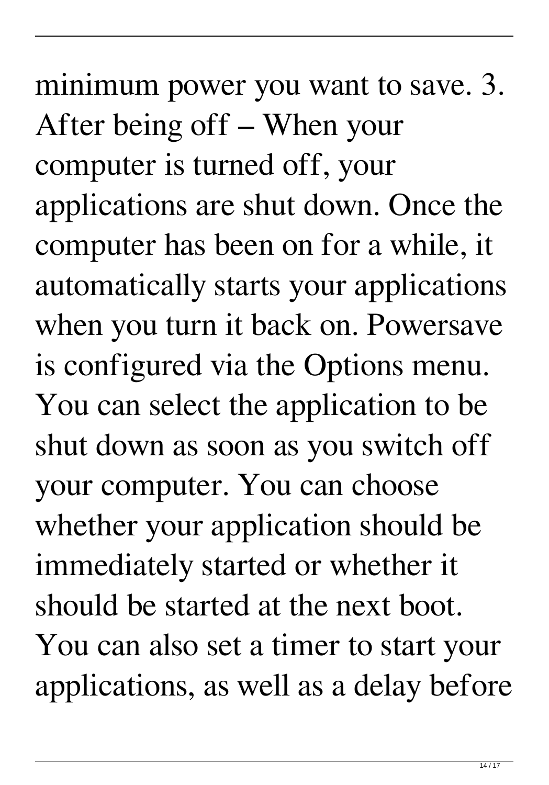minimum power you want to save. 3. After being off – When your computer is turned off, your applications are shut down. Once the computer has been on for a while, it automatically starts your applications when you turn it back on. Powersave is configured via the Options menu. You can select the application to be shut down as soon as you switch off your computer. You can choose whether your application should be immediately started or whether it should be started at the next boot. You can also set a timer to start your applications, as well as a delay before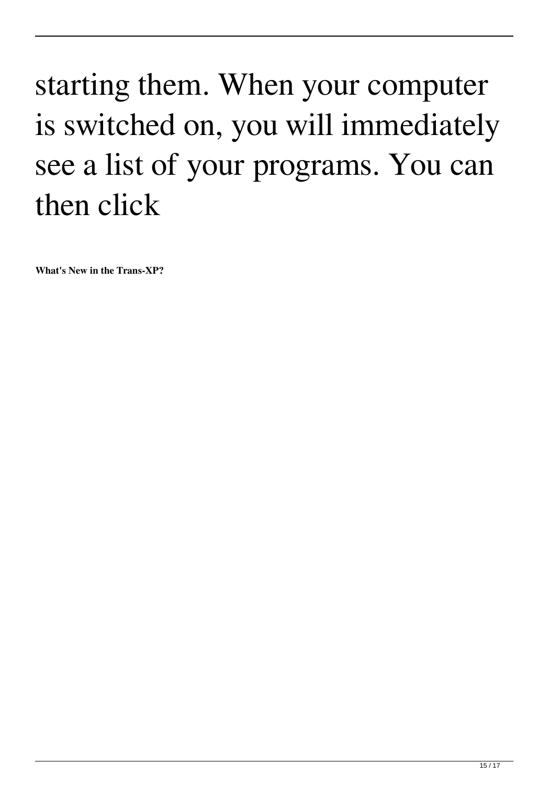## starting them. When your computer is switched on, you will immediately see a list of your programs. You can then click

**What's New in the Trans-XP?**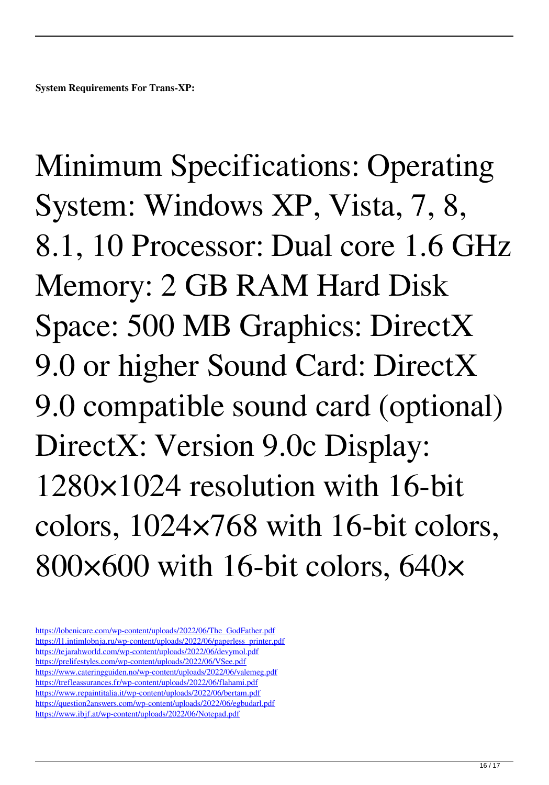Minimum Specifications: Operating System: Windows XP, Vista, 7, 8, 8.1, 10 Processor: Dual core 1.6 GHz Memory: 2 GB RAM Hard Disk Space: 500 MB Graphics: DirectX 9.0 or higher Sound Card: DirectX 9.0 compatible sound card (optional) DirectX: Version 9.0c Display: 1280×1024 resolution with 16-bit colors, 1024×768 with 16-bit colors, 800×600 with 16-bit colors, 640×

[https://lobenicare.com/wp-content/uploads/2022/06/The\\_GodFather.pdf](https://lobenicare.com/wp-content/uploads/2022/06/The_GodFather.pdf) [https://l1.intimlobnja.ru/wp-content/uploads/2022/06/paperless\\_printer.pdf](https://l1.intimlobnja.ru/wp-content/uploads/2022/06/paperless_printer.pdf) <https://tejarahworld.com/wp-content/uploads/2022/06/devymol.pdf> <https://prelifestyles.com/wp-content/uploads/2022/06/VSee.pdf> <https://www.cateringguiden.no/wp-content/uploads/2022/06/valemeg.pdf> <https://trefleassurances.fr/wp-content/uploads/2022/06/flahami.pdf> <https://www.repaintitalia.it/wp-content/uploads/2022/06/bertam.pdf> <https://question2answers.com/wp-content/uploads/2022/06/egbudarl.pdf> <https://www.ibjf.at/wp-content/uploads/2022/06/Notepad.pdf>